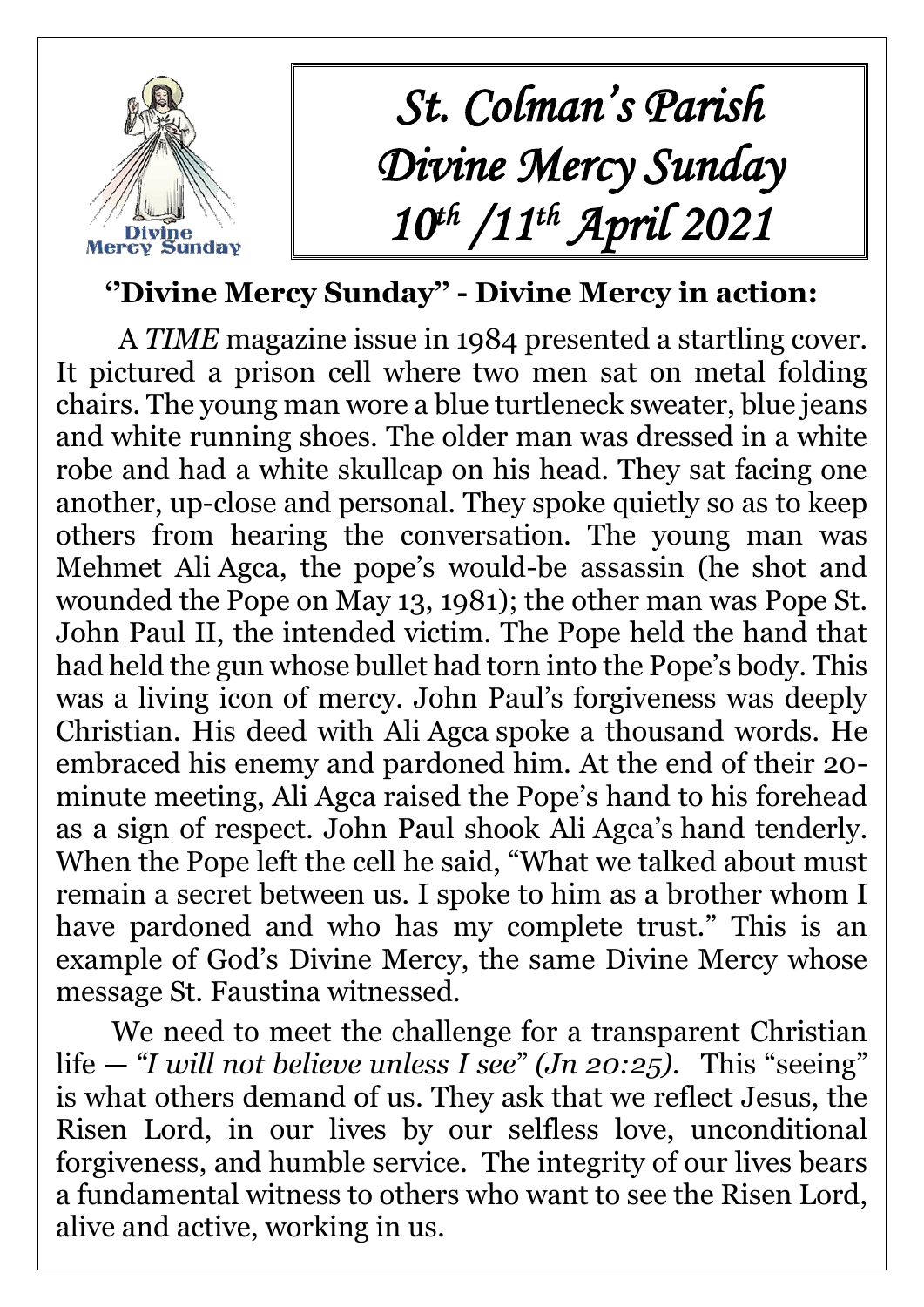

## **''Divine Mercy Sunday'' - Divine Mercy in action:**

A *TIME* magazine issue in 1984 presented a startling cover. It pictured a prison cell where two men sat on metal folding chairs. The young man wore a blue turtleneck sweater, blue jeans and white running shoes. The older man was dressed in a white robe and had a white skullcap on his head. They sat facing one another, up-close and personal. They spoke quietly so as to keep others from hearing the conversation. The young man was Mehmet Ali Agca, the pope's would-be assassin (he shot and wounded the Pope on May 13, 1981); the other man was Pope St. John Paul II, the intended victim. The Pope held the hand that had held the gun whose bullet had torn into the Pope's body. This was a living icon of mercy. John Paul's forgiveness was deeply Christian. His deed with Ali Agca spoke a thousand words. He embraced his enemy and pardoned him. At the end of their 20 minute meeting, Ali Agca raised the Pope's hand to his forehead as a sign of respect. John Paul shook Ali Agca's hand tenderly. When the Pope left the cell he said, "What we talked about must remain a secret between us. I spoke to him as a brother whom I have pardoned and who has my complete trust." This is an example of God's Divine Mercy, the same Divine Mercy whose message St. Faustina witnessed.

We need to meet the challenge for a transparent Christian life — *"I will not believe unless I see*" *(Jn 20:25).* This "seeing" is what others demand of us. They ask that we reflect Jesus, the Risen Lord, in our lives by our selfless love, unconditional forgiveness, and humble service. The integrity of our lives bears a fundamental witness to others who want to see the Risen Lord, alive and active, working in us.

 $\overline{a}$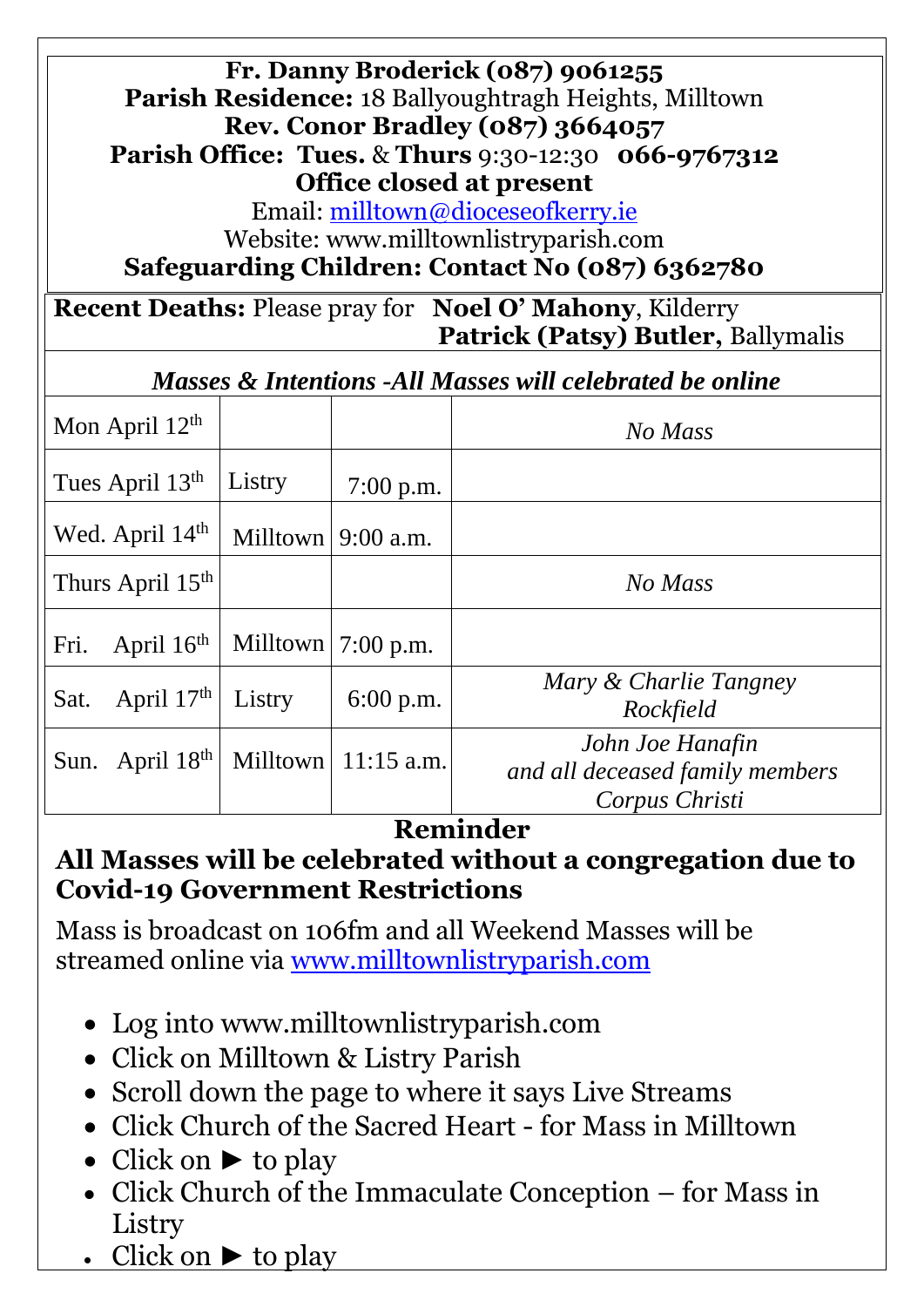#### **Fr. Danny Broderick (087) 9061255 Parish Residence:** 18 Ballyoughtragh Heights, Milltown **Rev. Conor Bradley (087) 3664057 Parish Office: Tues.** & **Thurs** 9:30-12:30 **066-9767312 Office closed at present**

Email: [milltown@dioceseofkerry.ie](mailto:milltown@dioceseofkerry.ie)

Website: www.milltownlistryparish.com

**Safeguarding Children: Contact No (087) 6362780**

**Recent Deaths:** Please pray for **Noel O' Mahony**, Kilderry  **Patrick (Patsy) Butler,** Ballymalis

*Masses & Intentions -All Masses will celebrated be online*

| Mon April $12th$             |          |                       | No Mass                                             |
|------------------------------|----------|-----------------------|-----------------------------------------------------|
| Tues April 13th              | Listry   | $7:00$ p.m.           |                                                     |
| Wed. April 14 <sup>th</sup>  | Milltown | $9:00$ a.m.           |                                                     |
| Thurs April 15 <sup>th</sup> |          |                       | No Mass                                             |
| April $16th$<br>Fri.         |          | Milltown $ 7:00$ p.m. |                                                     |
| April $17th$<br>Sat.         | Listry   | $6:00$ p.m.           | Mary & Charlie Tangney<br>Rockfield                 |
| April $18th$<br>Sun.         | Milltown | $11:15$ a.m.          | John Joe Hanafin<br>and all deceased family members |
|                              |          |                       | Corpus Christi                                      |

### **Reminder**

#### **All Masses will be celebrated without a congregation due to Covid-19 Government Restrictions**

Mass is broadcast on 106fm and all Weekend Masses will be streamed online via [www.milltownlistryparish.com](http://www.milltownlistryparish.com/)

- Log into [www.milltownlistryparish.com](http://www.milltownlistryparish.com/)
- Click on Milltown & Listry Parish
- Scroll down the page to where it says Live Streams
- Click Church of the Sacred Heart for Mass in Milltown
- Click on ► to play
- Click Church of the Immaculate Conception for Mass in Listry
- Click on  $\blacktriangleright$  to play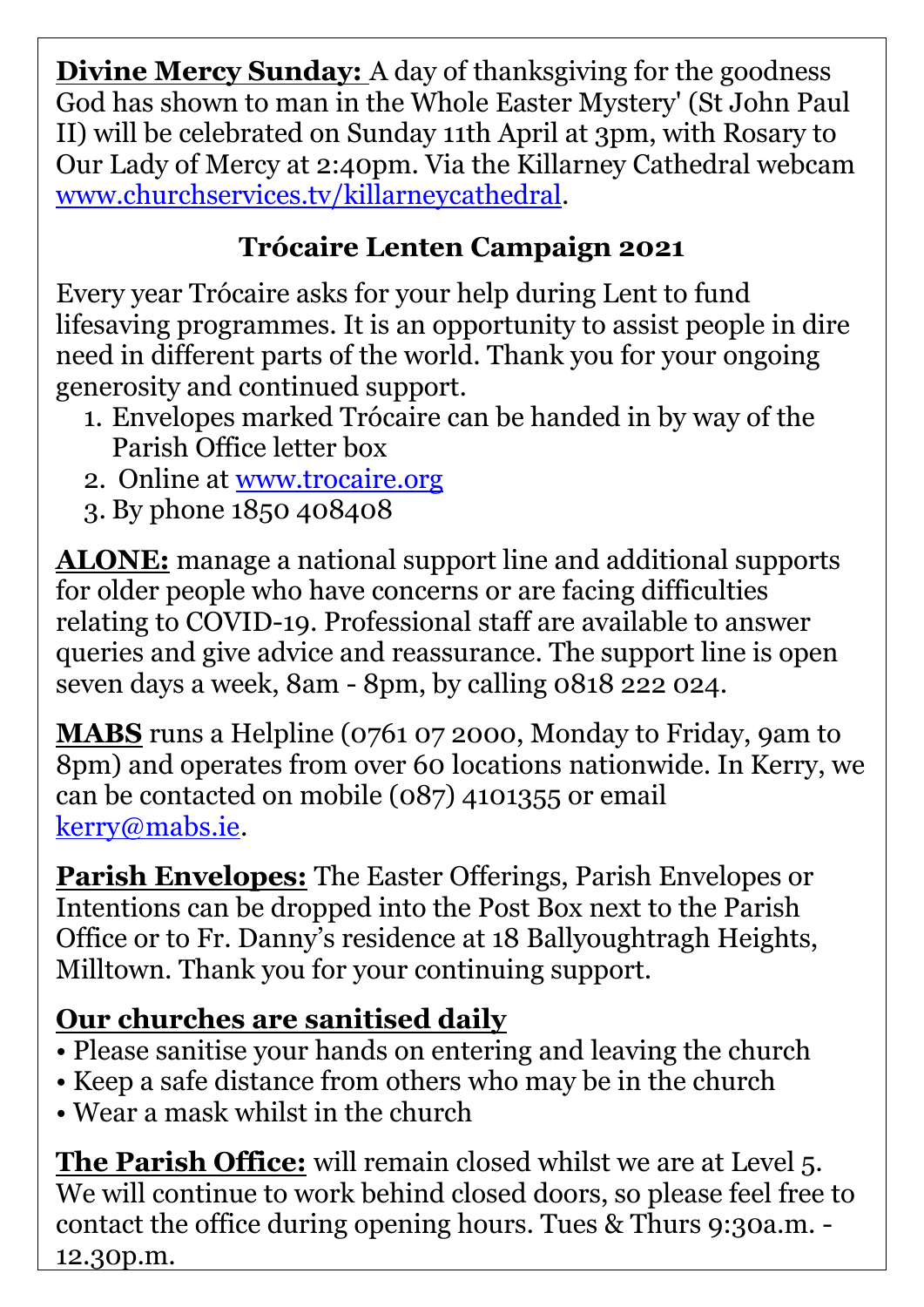**Divine Mercy Sunday:** A day of thanksgiving for the goodness God has shown to man in the Whole Easter Mystery' (St John Paul II) will be celebrated on Sunday 11th April at 3pm, with Rosary to Our Lady of Mercy at 2:40pm. Via the Killarney Cathedral webcam [www.churchservices.tv/killarneycathedral.](http://www.churchservices.tv/killarneycathedral)

# **Trócaire Lenten Campaign 2021**

Every year Trócaire asks for your help during Lent to fund lifesaving programmes. It is an opportunity to assist people in dire need in different parts of the world. Thank you for your ongoing generosity and continued support.

- 1. Envelopes marked Trócaire can be handed in by way of the Parish Office letter box
- 2. Online at [www.trocaire.org](http://www.trocaire.org/)
- 3. By phone 1850 408408

**ALONE:** manage a national support line and additional supports for older people who have concerns or are facing difficulties relating to COVID-19. Professional staff are available to answer queries and give advice and reassurance. The support line is open seven days a week, 8am - 8pm, by calling 0818 222 024.

**MABS** runs a Helpline (0761 07 2000, Monday to Friday, 9am to 8pm) and operates from over [60 locations](https://www.mabs.ie/en/contact/) nationwide. In Kerry, we can be contacted on mobile (087) 4101355 or email [kerry@mabs.ie.](mailto:kerry@mabs.ie)

**Parish Envelopes:** The Easter Offerings, Parish Envelopes or Intentions can be dropped into the Post Box next to the Parish Office or to Fr. Danny's residence at 18 Ballyoughtragh Heights, Milltown. Thank you for your continuing support.

## **Our churches are sanitised daily**

- Please sanitise your hands on entering and leaving the church
- Keep a safe distance from others who may be in the church
- Wear a mask whilst in the church

**The Parish Office:** will remain closed whilst we are at Level 5. We will continue to work behind closed doors, so please feel free to contact the office during opening hours. Tues & Thurs 9:30a.m. - 12.30p.m.